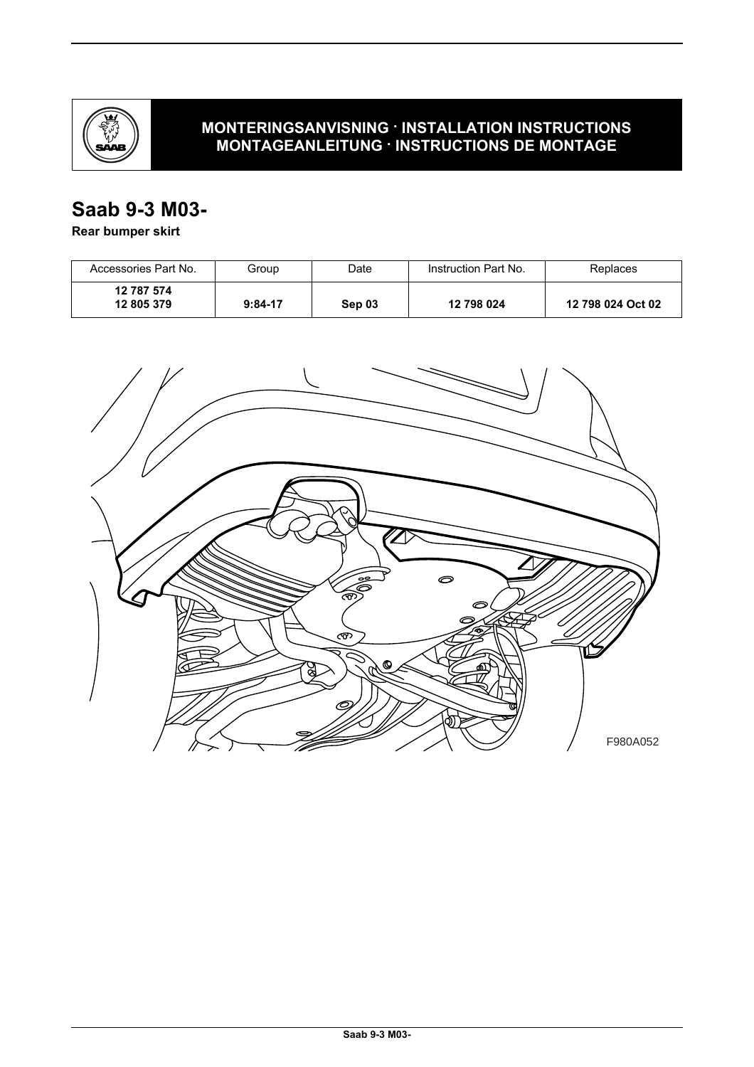

## **MONTERINGSANVISNING · INSTALLATION INSTRUCTIONS MONTAGEANLEITUNG · INSTRUCTIONS DE MONTAGE**

# **Saab 9-3 M03-**

## **Rear bumper skirt**

| Accessories Part No.     | Group     | Date   | Instruction Part No. | Replaces          |
|--------------------------|-----------|--------|----------------------|-------------------|
| 12 787 574<br>12 805 379 | $9:84-17$ | Sep 03 | 12 798 024           | 12 798 024 Oct 02 |

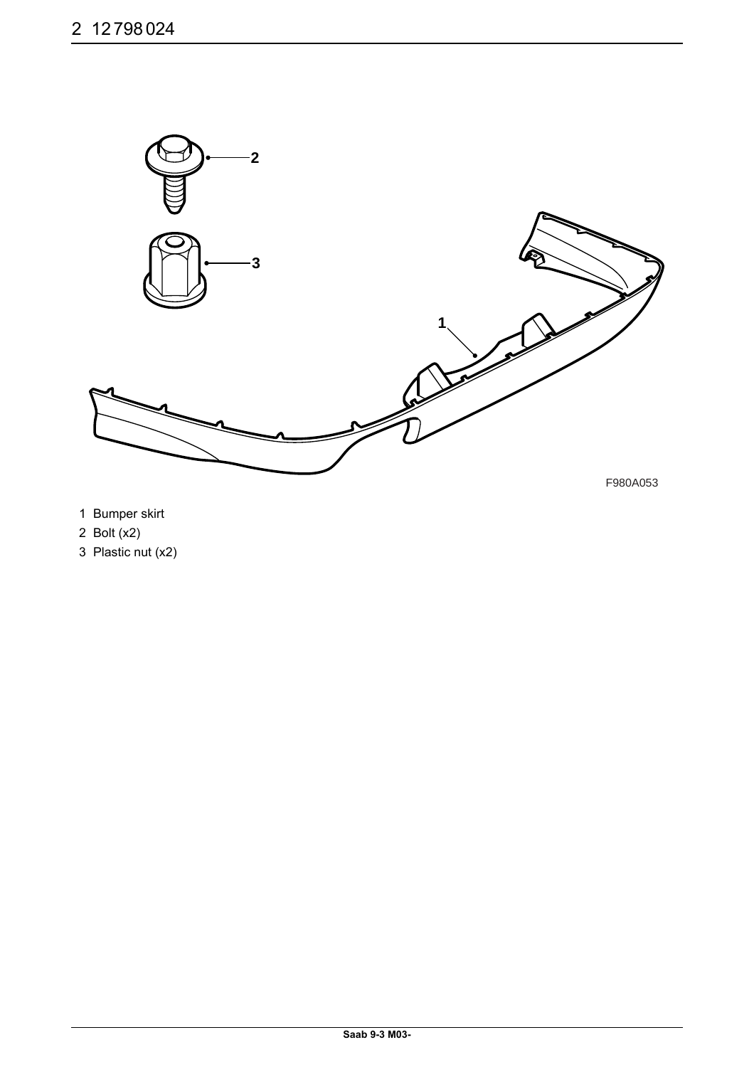

- 1 Bumper skirt
- 2 Bolt (x2)
- 3 Plastic nut (x2)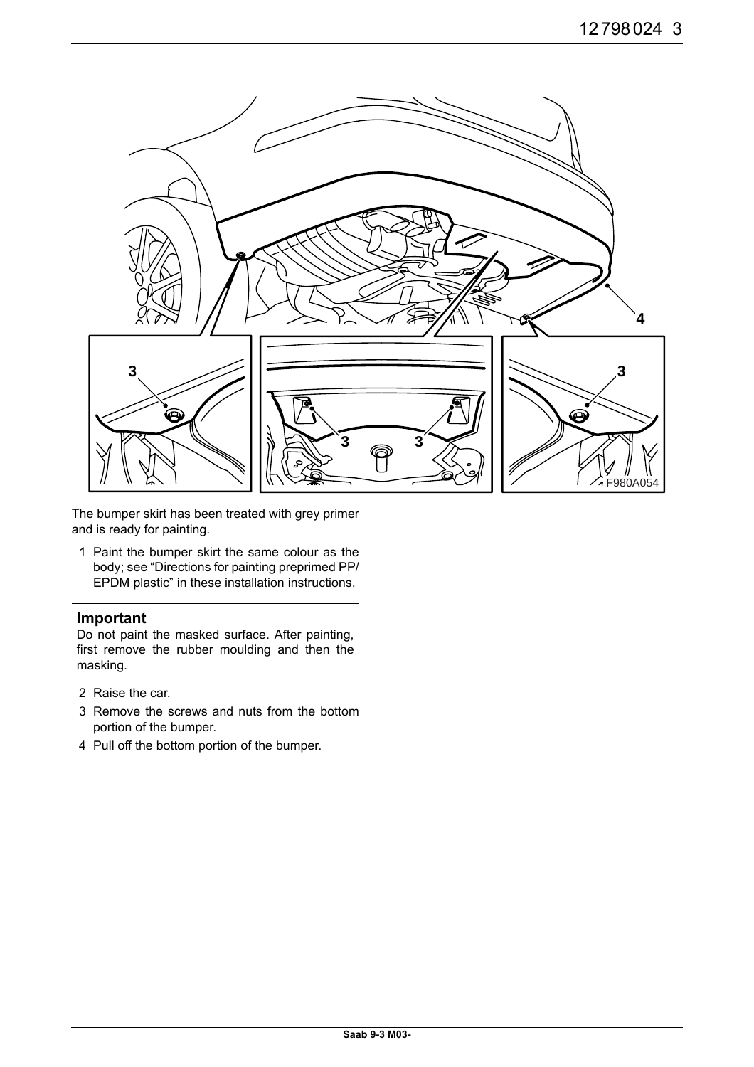

The bumper skirt has been treated with grey primer and is ready for painting.

1 Paint the bumper skirt the same colour as the body; see "Directions for painting preprimed PP/ EPDM plastic" in these installation instructions.

### **Important**

Do not paint the masked surface. After painting, first remove the rubber moulding and then the masking.

- 2 Raise the car.
- 3 Remove the screws and nuts from the bottom portion of the bumper.
- 4 Pull off the bottom portion of the bumper.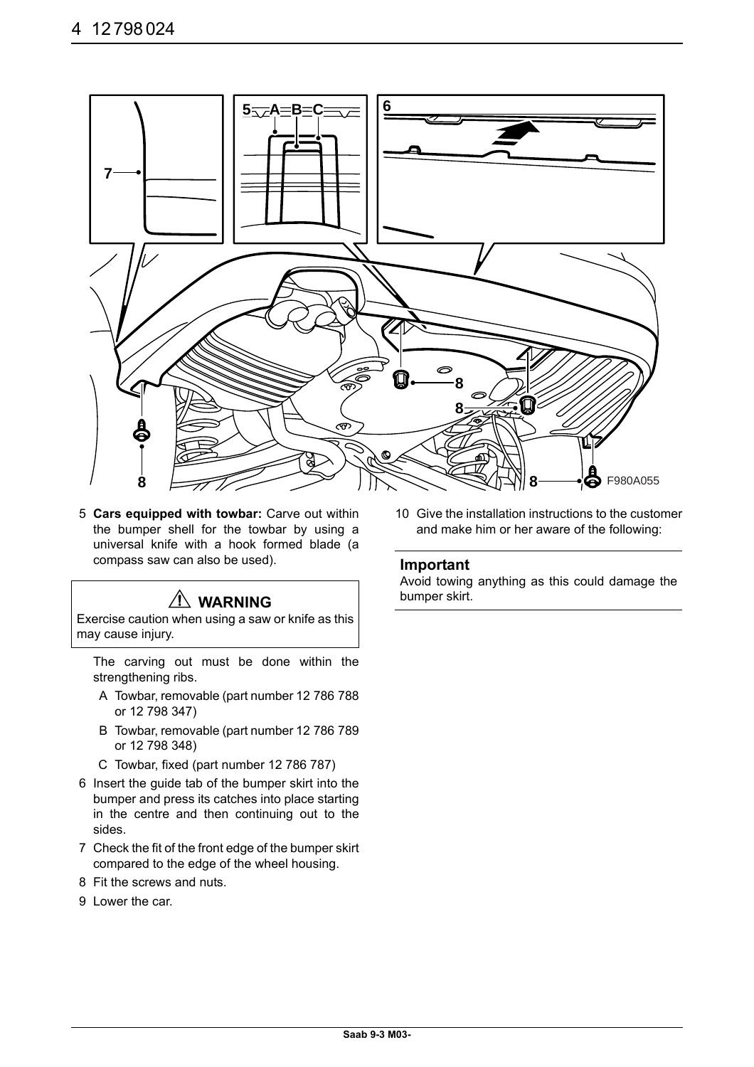

5 **Cars equipped with towbar:** Carve out within the bumper shell for the towbar by using a universal knife with a hook formed blade (a compass saw can also be used).

## **WARNING**

Exercise caution when using a saw or knife as this may cause injury.

The carving out must be done within the strengthening ribs.

- A Towbar, removable (part number 12 786 788 or 12 798 347)
- B Towbar, removable (part number 12 786 789 or 12 798 348)
- C Towbar, fixed (part number 12 786 787)
- 6 Insert the guide tab of the bumper skirt into the bumper and press its catches into place starting in the centre and then continuing out to the sides.
- 7 Check the fit of the front edge of the bumper skirt compared to the edge of the wheel housing.
- 8 Fit the screws and nuts.
- 9 Lower the car.

10 Give the installation instructions to the customer and make him or her aware of the following:

### **Important**

Avoid towing anything as this could damage the bumper skirt.